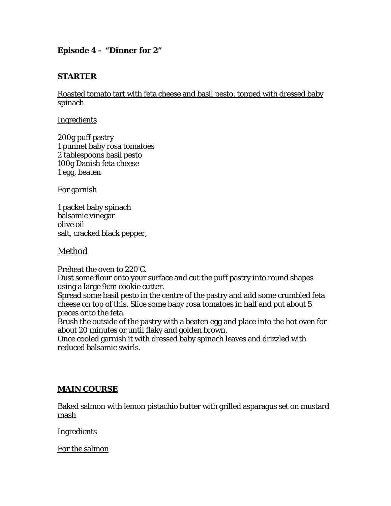## **Episode 4 – "Dinner for 2"**

## **STARTER**

Roasted tomato tart with feta cheese and basil pesto, topped with dressed baby spinach

**Ingredients** 

200g puff pastry 1 punnet baby rosa tomatoes 2 tablespoons basil pesto 100g Danish feta cheese 1 egg, beaten

For garnish

1 packet baby spinach balsamic vinegar olive oil salt, cracked black pepper,

## Method

Preheat the oven to 220'C.

Dust some flour onto your surface and cut the puff pastry into round shapes using a large 9cm cookie cutter.

Spread some basil pesto in the centre of the pastry and add some crumbled feta cheese on top of this. Slice some baby rosa tomatoes in half and put about 5 pieces onto the feta.

Brush the outside of the pastry with a beaten egg and place into the hot oven for about 20 minutes or until flaky and golden brown.

Once cooled garnish it with dressed baby spinach leaves and drizzled with reduced balsamic swirls.

### **MAIN COURSE**

Baked salmon with lemon pistachio butter with grilled asparagus set on mustard mash

**Ingredients** 

For the salmon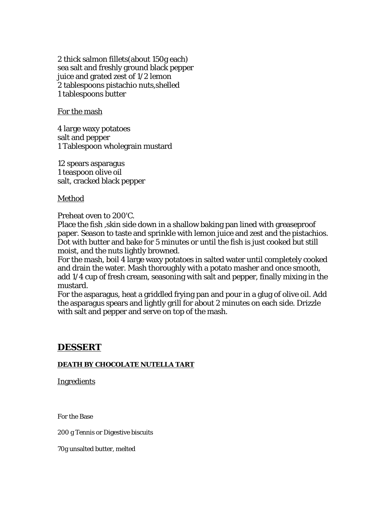2 thick salmon fillets(about 150g each) sea salt and freshly ground black pepper juice and grated zest of 1/2 lemon 2 tablespoons pistachio nuts,shelled 1 tablespoons butter

#### For the mash

4 large waxy potatoes salt and pepper 1 Tablespoon wholegrain mustard

12 spears asparagus 1 teaspoon olive oil salt, cracked black pepper

#### Method

Preheat oven to 200'C.

Place the fish ,skin side down in a shallow baking pan lined with greaseproof paper. Season to taste and sprinkle with lemon juice and zest and the pistachios. Dot with butter and bake for 5 minutes or until the fish is just cooked but still moist, and the nuts lightly browned.

For the mash, boil 4 large waxy potatoes in salted water until completely cooked and drain the water. Mash thoroughly with a potato masher and once smooth, add 1/4 cup of fresh cream, seasoning with salt and pepper, finally mixing in the mustard.

For the asparagus, heat a griddled frying pan and pour in a glug of olive oil. Add the asparagus spears and lightly grill for about 2 minutes on each side. Drizzle with salt and pepper and serve on top of the mash.

# **DESSERT**

#### **DEATH BY CHOCOLATE NUTELLA TART**

**Ingredients** 

For the Base

200 g Tennis or Digestive biscuits

70g unsalted butter, melted